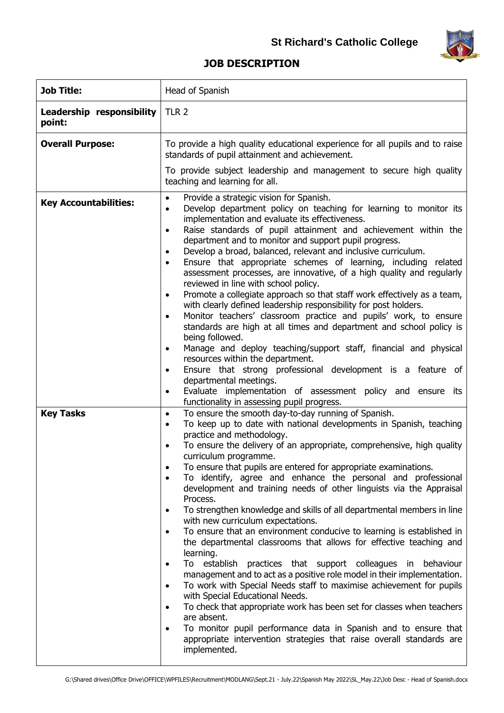

## **JOB DESCRIPTION**

| <b>Job Title:</b>                   | Head of Spanish                                                                                                                                                                                                                                                                                                                                                                                                                                                                                                                                                                                                                                                                                                                                                                                                                                                                                                                                                                                                                                                                                                                                                                                                                                                                                                                                   |
|-------------------------------------|---------------------------------------------------------------------------------------------------------------------------------------------------------------------------------------------------------------------------------------------------------------------------------------------------------------------------------------------------------------------------------------------------------------------------------------------------------------------------------------------------------------------------------------------------------------------------------------------------------------------------------------------------------------------------------------------------------------------------------------------------------------------------------------------------------------------------------------------------------------------------------------------------------------------------------------------------------------------------------------------------------------------------------------------------------------------------------------------------------------------------------------------------------------------------------------------------------------------------------------------------------------------------------------------------------------------------------------------------|
| Leadership responsibility<br>point: | TLR <sub>2</sub>                                                                                                                                                                                                                                                                                                                                                                                                                                                                                                                                                                                                                                                                                                                                                                                                                                                                                                                                                                                                                                                                                                                                                                                                                                                                                                                                  |
| <b>Overall Purpose:</b>             | To provide a high quality educational experience for all pupils and to raise<br>standards of pupil attainment and achievement.<br>To provide subject leadership and management to secure high quality<br>teaching and learning for all.                                                                                                                                                                                                                                                                                                                                                                                                                                                                                                                                                                                                                                                                                                                                                                                                                                                                                                                                                                                                                                                                                                           |
| <b>Key Accountabilities:</b>        | Provide a strategic vision for Spanish.<br>$\bullet$<br>Develop department policy on teaching for learning to monitor its<br>$\bullet$<br>implementation and evaluate its effectiveness.<br>Raise standards of pupil attainment and achievement within the<br>$\bullet$<br>department and to monitor and support pupil progress.<br>Develop a broad, balanced, relevant and inclusive curriculum.<br>Ensure that appropriate schemes of learning, including related<br>$\bullet$<br>assessment processes, are innovative, of a high quality and regularly<br>reviewed in line with school policy.<br>Promote a collegiate approach so that staff work effectively as a team,<br>$\bullet$<br>with clearly defined leadership responsibility for post holders.<br>Monitor teachers' classroom practice and pupils' work, to ensure<br>$\bullet$<br>standards are high at all times and department and school policy is<br>being followed.<br>Manage and deploy teaching/support staff, financial and physical<br>resources within the department.<br>Ensure that strong professional development is a feature of<br>٠<br>departmental meetings.<br>Evaluate implementation of assessment policy and ensure its<br>$\bullet$<br>functionality in assessing pupil progress.                                                                          |
| <b>Key Tasks</b>                    | To ensure the smooth day-to-day running of Spanish.<br>$\bullet$<br>To keep up to date with national developments in Spanish, teaching<br>$\bullet$<br>practice and methodology.<br>To ensure the delivery of an appropriate, comprehensive, high quality<br>curriculum programme.<br>To ensure that pupils are entered for appropriate examinations.<br>$\bullet$<br>To identify, agree and enhance the personal and professional<br>$\bullet$<br>development and training needs of other linguists via the Appraisal<br>Process.<br>To strengthen knowledge and skills of all departmental members in line<br>with new curriculum expectations.<br>To ensure that an environment conducive to learning is established in<br>the departmental classrooms that allows for effective teaching and<br>learning.<br>To establish practices that support colleagues in<br>behaviour<br>$\bullet$<br>management and to act as a positive role model in their implementation.<br>To work with Special Needs staff to maximise achievement for pupils<br>$\bullet$<br>with Special Educational Needs.<br>To check that appropriate work has been set for classes when teachers<br>are absent.<br>To monitor pupil performance data in Spanish and to ensure that<br>appropriate intervention strategies that raise overall standards are<br>implemented. |